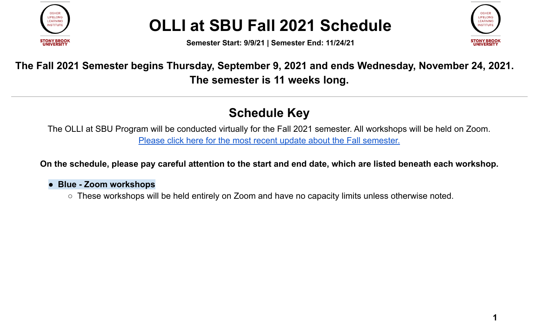

**Semester Start: 9/9/21 | Semester End: 11/24/21**



#### **The Fall 2021 Semester begins Thursday, September 9, 2021 and ends Wednesday, November 24, 2021. The semester is 11 weeks long.**

#### **Schedule Key**

The OLLI at SBU Program will be conducted virtually for the Fall 2021 semester. All workshops will be held on Zoom. Please click here for the most recent update about the Fall [semester.](https://conta.cc/3xS94e8)

On the schedule, please pay careful attention to the start and end date, which are listed beneath each workshop.

#### ● **Blue - Zoom workshops**

○ These workshops will be held entirely on Zoom and have no capacity limits unless otherwise noted.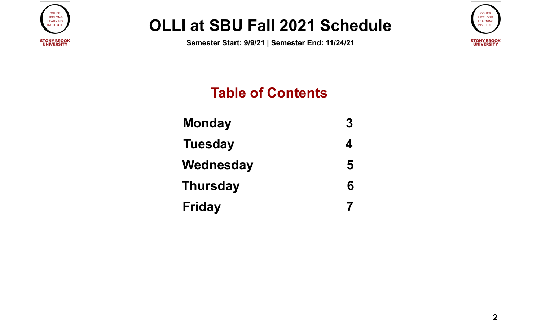

**Semester Start: 9/9/21 | Semester End: 11/24/21**



#### **Table of Contents**

**[Monday 3](#page-2-0) [Tuesday 4](#page-3-0) [Wednesday 5](#page-4-0) [Thursday 6](#page-5-0) [Friday](#page-6-0) 7**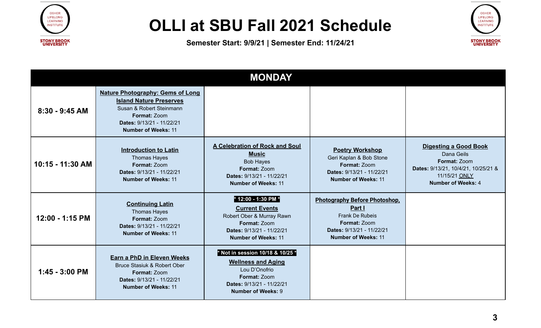



<span id="page-2-0"></span>

|                  |                                                                                                                                                                                  | <b>MONDAY</b>                                                                                                                                                   |                                                                                                                                                     |                                                                                                                                                 |
|------------------|----------------------------------------------------------------------------------------------------------------------------------------------------------------------------------|-----------------------------------------------------------------------------------------------------------------------------------------------------------------|-----------------------------------------------------------------------------------------------------------------------------------------------------|-------------------------------------------------------------------------------------------------------------------------------------------------|
| 8:30 - 9:45 AM   | <b>Nature Photography: Gems of Long</b><br><b>Island Nature Preserves</b><br>Susan & Robert Steinmann<br>Format: Zoom<br>Dates: 9/13/21 - 11/22/21<br><b>Number of Weeks: 11</b> |                                                                                                                                                                 |                                                                                                                                                     |                                                                                                                                                 |
| 10:15 - 11:30 AM | <b>Introduction to Latin</b><br><b>Thomas Hayes</b><br>Format: Zoom<br>Dates: 9/13/21 - 11/22/21<br><b>Number of Weeks: 11</b>                                                   | <b>A Celebration of Rock and Soul</b><br><b>Music</b><br><b>Bob Hayes</b><br>Format: Zoom<br>Dates: 9/13/21 - 11/22/21<br><b>Number of Weeks: 11</b>            | <b>Poetry Workshop</b><br>Geri Kaplan & Bob Stone<br>Format: Zoom<br>Dates: 9/13/21 - 11/22/21<br><b>Number of Weeks: 11</b>                        | <b>Digesting a Good Book</b><br>Dana Geils<br>Format: Zoom<br>Dates: 9/13/21, 10/4/21, 10/25/21 &<br>11/15/21 ONLY<br><b>Number of Weeks: 4</b> |
| 12:00 - 1:15 PM  | <b>Continuing Latin</b><br><b>Thomas Hayes</b><br><b>Format: Zoom</b><br>Dates: 9/13/21 - 11/22/21<br><b>Number of Weeks: 11</b>                                                 | * 12:00 - 1:30 PM *<br><b>Current Events</b><br>Robert Ober & Murray Rawn<br>Format: Zoom<br>Dates: 9/13/21 - 11/22/21<br><b>Number of Weeks: 11</b>            | <b>Photography Before Photoshop,</b><br>Part I<br><b>Frank De Rubeis</b><br>Format: Zoom<br>Dates: 9/13/21 - 11/22/21<br><b>Number of Weeks: 11</b> |                                                                                                                                                 |
| 1:45 - 3:00 PM   | <b>Earn a PhD in Eleven Weeks</b><br>Bruce Stasiuk & Robert Ober<br><b>Format: Zoom</b><br>Dates: 9/13/21 - 11/22/21<br><b>Number of Weeks: 11</b>                               | * Not in session 10/18 & 10/25 *<br><b>Wellness and Aging</b><br>Lou D'Onofrio<br><b>Format: Zoom</b><br>Dates: 9/13/21 - 11/22/21<br><b>Number of Weeks: 9</b> |                                                                                                                                                     |                                                                                                                                                 |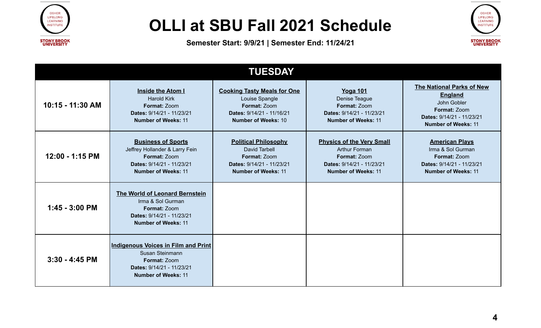



<span id="page-3-0"></span>

| <b>TUESDAY</b>   |                                                                                                                                          |                                                                                                                                 |                                                                                                                                     |                                                                                                                                       |  |  |
|------------------|------------------------------------------------------------------------------------------------------------------------------------------|---------------------------------------------------------------------------------------------------------------------------------|-------------------------------------------------------------------------------------------------------------------------------------|---------------------------------------------------------------------------------------------------------------------------------------|--|--|
| 10:15 - 11:30 AM | <b>Inside the Atom I</b><br><b>Harold Kirk</b><br>Format: Zoom<br>Dates: 9/14/21 - 11/23/21<br><b>Number of Weeks: 11</b>                | <b>Cooking Tasty Meals for One</b><br>Louise Spangle<br>Format: Zoom<br>Dates: 9/14/21 - 11/16/21<br><b>Number of Weeks: 10</b> | <b>Yoga 101</b><br>Denise Teague<br>Format: Zoom<br>Dates: 9/14/21 - 11/23/21<br><b>Number of Weeks: 11</b>                         | The National Parks of New<br><b>England</b><br>John Gobler<br>Format: Zoom<br>Dates: 9/14/21 - 11/23/21<br><b>Number of Weeks: 11</b> |  |  |
| 12:00 - 1:15 PM  | <b>Business of Sports</b><br>Jeffrey Hollander & Larry Fein<br>Format: Zoom<br>Dates: 9/14/21 - 11/23/21<br><b>Number of Weeks: 11</b>   | <b>Political Philosophy</b><br><b>David Tarbell</b><br>Format: Zoom<br>Dates: 9/14/21 - 11/23/21<br><b>Number of Weeks: 11</b>  | <b>Physics of the Very Small</b><br><b>Arthur Forman</b><br>Format: Zoom<br>Dates: 9/14/21 - 11/23/21<br><b>Number of Weeks: 11</b> | <b>American Plays</b><br>Irma & Sol Gurman<br>Format: Zoom<br>Dates: 9/14/21 - 11/23/21<br><b>Number of Weeks: 11</b>                 |  |  |
| $1:45 - 3:00$ PM | The World of Leonard Bernstein<br>Irma & Sol Gurman<br>Format: Zoom<br>Dates: 9/14/21 - 11/23/21<br><b>Number of Weeks: 11</b>           |                                                                                                                                 |                                                                                                                                     |                                                                                                                                       |  |  |
| $3:30 - 4:45$ PM | <b>Indigenous Voices in Film and Print</b><br>Susan Steinmann<br>Format: Zoom<br>Dates: 9/14/21 - 11/23/21<br><b>Number of Weeks: 11</b> |                                                                                                                                 |                                                                                                                                     |                                                                                                                                       |  |  |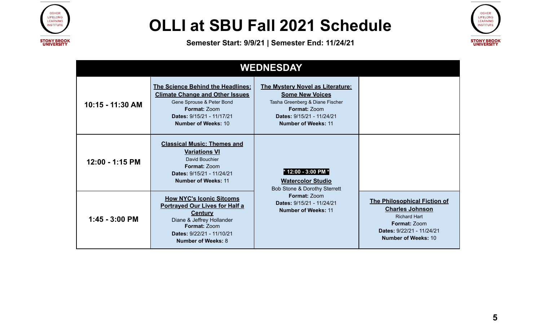



<span id="page-4-0"></span>

| <b>WEDNESDAY</b> |                                                                                                                                                                                                          |                                                                                                                                                                                        |                                                                                                                                                                        |  |  |  |
|------------------|----------------------------------------------------------------------------------------------------------------------------------------------------------------------------------------------------------|----------------------------------------------------------------------------------------------------------------------------------------------------------------------------------------|------------------------------------------------------------------------------------------------------------------------------------------------------------------------|--|--|--|
| 10:15 - 11:30 AM | <b>The Science Behind the Headlines:</b><br><b>Climate Change and Other Issues</b><br>Gene Sprouse & Peter Bond<br><b>Format: Zoom</b><br>Dates: 9/15/21 - 11/17/21<br><b>Number of Weeks: 10</b>        | <b>The Mystery Novel as Literature:</b><br><b>Some New Voices</b><br>Tasha Greenberg & Diane Fischer<br><b>Format: Zoom</b><br>Dates: 9/15/21 - 11/24/21<br><b>Number of Weeks: 11</b> |                                                                                                                                                                        |  |  |  |
| 12:00 - 1:15 PM  | <b>Classical Music: Themes and</b><br><b>Variations VI</b><br>David Bouchier<br><b>Format: Zoom</b><br>Dates: 9/15/21 - 11/24/21<br><b>Number of Weeks: 11</b>                                           | * 12:00 - 3:00 PM *<br><b>Watercolor Studio</b><br>Bob Stone & Dorothy Sterrett                                                                                                        |                                                                                                                                                                        |  |  |  |
| $1:45 - 3:00$ PM | <b>How NYC's Iconic Sitcoms</b><br><b>Portrayed Our Lives for Half a</b><br><b>Century</b><br>Diane & Jeffrey Hollander<br><b>Format: Zoom</b><br>Dates: 9/22/21 - 11/10/21<br><b>Number of Weeks: 8</b> | Format: Zoom<br>Dates: 9/15/21 - 11/24/21<br><b>Number of Weeks: 11</b>                                                                                                                | <b>The Philosophical Fiction of</b><br><b>Charles Johnson</b><br><b>Richard Hart</b><br><b>Format: Zoom</b><br>Dates: 9/22/21 - 11/24/21<br><b>Number of Weeks: 10</b> |  |  |  |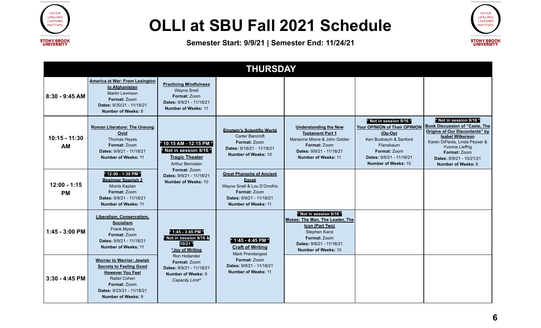



<span id="page-5-0"></span>

| <b>THURSDAY</b>              |                                                                                                                                                                                  |                                                                                                                               |                                                                                                                                                    |                                                                                                                                                                          |                                                                                                                                                                                       |                                                                                                                                                                                                                                                                   |
|------------------------------|----------------------------------------------------------------------------------------------------------------------------------------------------------------------------------|-------------------------------------------------------------------------------------------------------------------------------|----------------------------------------------------------------------------------------------------------------------------------------------------|--------------------------------------------------------------------------------------------------------------------------------------------------------------------------|---------------------------------------------------------------------------------------------------------------------------------------------------------------------------------------|-------------------------------------------------------------------------------------------------------------------------------------------------------------------------------------------------------------------------------------------------------------------|
| 8:30 - 9:45 AM               | America at War: From Lexington<br>to Afghanistan<br><b>Martin Levinson</b><br>Format: Zoom<br>Dates: 9/30/21 - 11/18/21<br><b>Number of Weeks: 8</b>                             | <b>Practicing Mindfulness</b><br><b>Wayne Snell</b><br>Format: Zoom<br>Dates: 9/9/21 - 11/18/21<br><b>Number of Weeks: 11</b> |                                                                                                                                                    |                                                                                                                                                                          |                                                                                                                                                                                       |                                                                                                                                                                                                                                                                   |
| $10:15 - 11:30$<br><b>AM</b> | <b>Roman Literature: The Unsung</b><br>Ovid<br>Thomas Hayes<br>Format: Zoom<br>Dates: 9/9/21 - 11/18/21<br><b>Number of Weeks: 11</b>                                            | * 10:15 AM - 12:15 PM *<br>* Not in session 9/16 *<br><b>Tragic Theater</b><br><b>Arthur Bernstein</b>                        | <b>Einstein's Scientific World</b><br>Carter Bancroft<br>Format: Zoom<br>Dates: 9/16/21 - 11/18/21<br><b>Number of Weeks: 10</b>                   | <b>Understanding the New</b><br><b>Testament Part 1</b><br>Marianne Mione & John Gobler<br>Format: Zoom<br>Dates: 9/9/21 - 11/18/21<br><b>Number of Weeks: 11</b>        | * Not in session 9/16 *<br>Your OPINION of Their OPINION<br>$(Op-Op)$<br>Ken Buxbaum & Sanford<br>Flansbaum<br>Format: Zoom<br>Dates: 9/9/21 - 11/18/21<br><b>Number of Weeks: 10</b> | * Not in session 9/16 *<br><b>Book Discussion of "Caste, The</b><br><b>Origins of Our Discontents" by</b><br><b>Isabel Wilkerson</b><br>Karen DiPaola, Linda Peyser &<br>Yvonne Lieffrig<br>Format: Zoom<br>Dates: 9/9/21 - 10/21/21<br><b>Number of Weeks: 6</b> |
| $12:00 - 1:15$<br><b>PM</b>  | * 12:00 - 1:30 PM *<br><b>Beginner Spanish 2</b><br>Morris Kaplan<br>Format: Zoom<br>Dates: 9/9/21 - 11/18/21<br><b>Number of Weeks: 11</b>                                      | Format: Zoom<br>Dates: 9/9/21 - 11/18/21<br><b>Number of Weeks: 10</b>                                                        | <b>Great Pharaohs of Ancient</b><br>Egypt<br>Wayne Snell & Lou D'Onofrio<br>Format: Zoom<br>Dates: 9/9/21 - 11/18/21<br><b>Number of Weeks: 11</b> |                                                                                                                                                                          |                                                                                                                                                                                       |                                                                                                                                                                                                                                                                   |
| 1:45 - 3:00 PM               | Liberalism, Conservatism,<br><b>Socialism</b><br><b>Frank Myers</b><br>Format: Zoom<br>Dates: 9/9/21 - 11/18/21<br><b>Number of Weeks: 11</b>                                    | * 1:45 - 3:45 PM *<br>* Not in session 9/16 &<br>10/21 *<br>*Joy of Writing                                                   | * 1:45 - 4:45 PM *<br><b>Craft of Writing</b><br>Mark Prendergast                                                                                  | * Not in session 9/16 *<br>Moses: The Man. The Leader. The<br>Icon (Part Two)<br>Stephen Karol<br>Format: Zoom<br>Dates: 9/9/21 - 11/18/21<br><b>Number of Weeks: 10</b> |                                                                                                                                                                                       |                                                                                                                                                                                                                                                                   |
| $3:30 - 4:45$ PM             | <b>Worrier to Warrior: Jewish</b><br><b>Secrets to Feeling Good</b><br><b>However You Feel</b><br>Rabbi Cohen<br>Format: Zoom<br>Dates: 9/23/21 - 11/18/21<br>Number of Weeks: 9 | Ron Hollander<br>Format: Zoom<br>Dates: 9/9/21 - 11/18/21<br><b>Number of Weeks: 9</b><br>Capacity Limit*                     | Format: Zoom<br>Dates: 9/9/21 - 11/18/21<br><b>Number of Weeks: 11</b>                                                                             |                                                                                                                                                                          |                                                                                                                                                                                       |                                                                                                                                                                                                                                                                   |